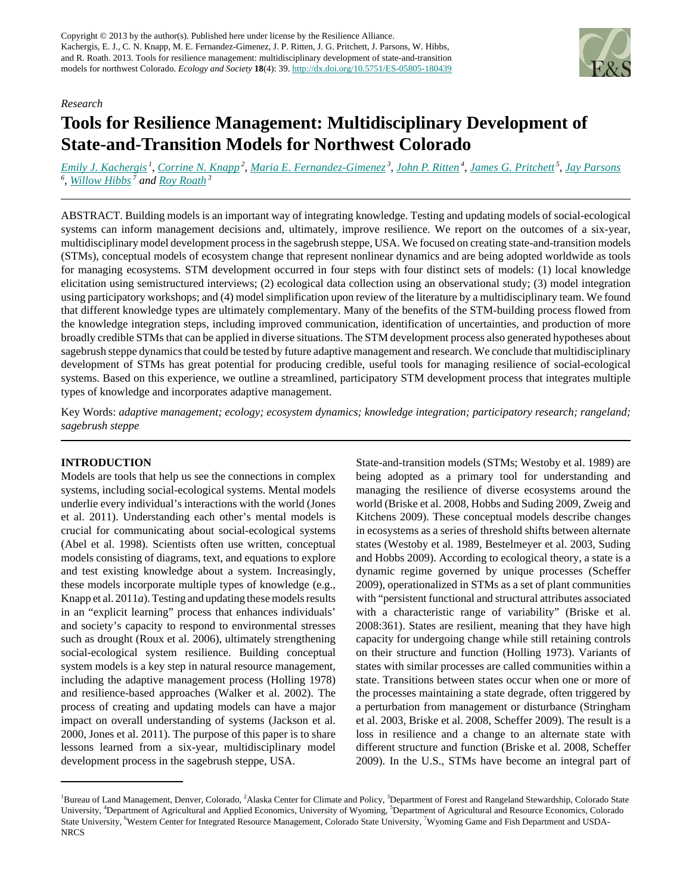#### *Research*

# **Tools for Resilience Management: Multidisciplinary Development of State-and-Transition Models for Northwest Colorado**

*[Emily J. Kachergis](mailto:emily.kachergis@gmail.com)<sup>1</sup>* , *[Corrine N. Knapp](mailto:corrieknapp@yahoo.com)<sup>2</sup>* , *[Maria E. Fernandez-Gimenez](mailto:Maria.Fernandez-Gimenez@colostate.edu)<sup>3</sup>* , *[John P. Ritten](mailto:John.Ritten@uwyo.edu)<sup>4</sup>* , *[James G. Pritchett](mailto:James.Pritchett@colostate.edu)<sup>5</sup>* , *[Jay Parsons](mailto:Jay.Parsons@colostate.edu) 6* , *[Willow Hibbs](mailto:Willow.Hibbs@wy.usda.gov)<sup>7</sup> and [Roy Roath](mailto:Roy.Roath@colostate.edu)<sup>3</sup>*

ABSTRACT. Building models is an important way of integrating knowledge. Testing and updating models of social-ecological systems can inform management decisions and, ultimately, improve resilience. We report on the outcomes of a six-year, multidisciplinary model development process in the sagebrush steppe, USA. We focused on creating state-and-transition models (STMs), conceptual models of ecosystem change that represent nonlinear dynamics and are being adopted worldwide as tools for managing ecosystems. STM development occurred in four steps with four distinct sets of models: (1) local knowledge elicitation using semistructured interviews; (2) ecological data collection using an observational study; (3) model integration using participatory workshops; and (4) model simplification upon review of the literature by a multidisciplinary team. We found that different knowledge types are ultimately complementary. Many of the benefits of the STM-building process flowed from the knowledge integration steps, including improved communication, identification of uncertainties, and production of more broadly credible STMs that can be applied in diverse situations. The STM development process also generated hypotheses about sagebrush steppe dynamics that could be tested by future adaptive management and research. We conclude that multidisciplinary development of STMs has great potential for producing credible, useful tools for managing resilience of social-ecological systems. Based on this experience, we outline a streamlined, participatory STM development process that integrates multiple types of knowledge and incorporates adaptive management.

Key Words: *adaptive management; ecology; ecosystem dynamics; knowledge integration; participatory research; rangeland; sagebrush steppe*

## **INTRODUCTION**

Models are tools that help us see the connections in complex systems, including social-ecological systems. Mental models underlie every individual's interactions with the world (Jones et al. 2011). Understanding each other's mental models is crucial for communicating about social-ecological systems (Abel et al. 1998). Scientists often use written, conceptual models consisting of diagrams, text, and equations to explore and test existing knowledge about a system. Increasingly, these models incorporate multiple types of knowledge (e.g., Knapp et al. 2011*a*). Testing and updating these models results in an "explicit learning" process that enhances individuals' and society's capacity to respond to environmental stresses such as drought (Roux et al. 2006), ultimately strengthening social-ecological system resilience. Building conceptual system models is a key step in natural resource management, including the adaptive management process (Holling 1978) and resilience-based approaches (Walker et al. 2002). The process of creating and updating models can have a major impact on overall understanding of systems (Jackson et al. 2000, Jones et al. 2011). The purpose of this paper is to share lessons learned from a six-year, multidisciplinary model development process in the sagebrush steppe, USA.

State-and-transition models (STMs; Westoby et al. 1989) are being adopted as a primary tool for understanding and managing the resilience of diverse ecosystems around the world (Briske et al. 2008, Hobbs and Suding 2009, Zweig and Kitchens 2009). These conceptual models describe changes in ecosystems as a series of threshold shifts between alternate states (Westoby et al. 1989, Bestelmeyer et al. 2003, Suding and Hobbs 2009). According to ecological theory, a state is a dynamic regime governed by unique processes (Scheffer 2009), operationalized in STMs as a set of plant communities with "persistent functional and structural attributes associated with a characteristic range of variability" (Briske et al. 2008:361). States are resilient, meaning that they have high capacity for undergoing change while still retaining controls on their structure and function (Holling 1973). Variants of states with similar processes are called communities within a state. Transitions between states occur when one or more of the processes maintaining a state degrade, often triggered by a perturbation from management or disturbance (Stringham et al. 2003, Briske et al. 2008, Scheffer 2009). The result is a loss in resilience and a change to an alternate state with different structure and function (Briske et al. 2008, Scheffer 2009). In the U.S., STMs have become an integral part of



<sup>&</sup>lt;sup>1</sup>Bureau of Land Management, Denver, Colorado, <sup>2</sup>Alaska Center for Climate and Policy, <sup>3</sup>Department of Forest and Rangeland Stewardship, Colorado State University, <sup>4</sup>Department of Agricultural and Applied Economics, University of Wyoming, <sup>5</sup>Department of Agricultural and Resource Economics, Colorado State University, <sup>6</sup>Western Center for Integrated Resource Management, Colorado State University, <sup>7</sup>Wyoming Game and Fish Department and USDA-NRCS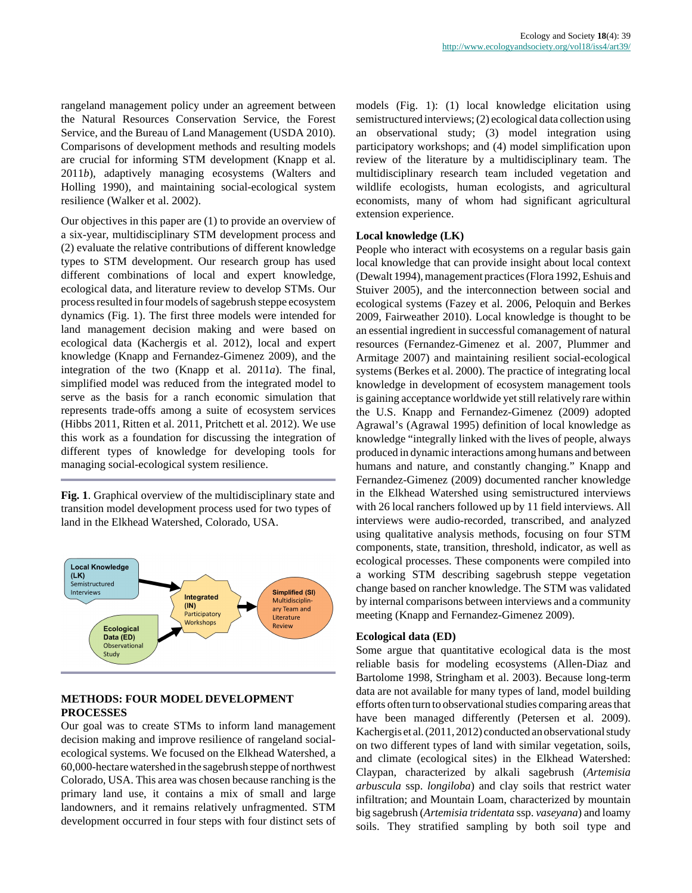rangeland management policy under an agreement between the Natural Resources Conservation Service, the Forest Service, and the Bureau of Land Management (USDA 2010). Comparisons of development methods and resulting models are crucial for informing STM development (Knapp et al. 2011*b*), adaptively managing ecosystems (Walters and Holling 1990), and maintaining social-ecological system resilience (Walker et al. 2002).

Our objectives in this paper are (1) to provide an overview of a six-year, multidisciplinary STM development process and (2) evaluate the relative contributions of different knowledge types to STM development. Our research group has used different combinations of local and expert knowledge, ecological data, and literature review to develop STMs. Our process resulted in four models of sagebrush steppe ecosystem dynamics (Fig. 1). The first three models were intended for land management decision making and were based on ecological data (Kachergis et al. 2012), local and expert knowledge (Knapp and Fernandez-Gimenez 2009), and the integration of the two (Knapp et al. 2011*a*). The final, simplified model was reduced from the integrated model to serve as the basis for a ranch economic simulation that represents trade-offs among a suite of ecosystem services (Hibbs 2011, Ritten et al. 2011, Pritchett et al. 2012). We use this work as a foundation for discussing the integration of different types of knowledge for developing tools for managing social-ecological system resilience.

**Fig. 1**. Graphical overview of the multidisciplinary state and transition model development process used for two types of land in the Elkhead Watershed, Colorado, USA.



## **METHODS: FOUR MODEL DEVELOPMENT PROCESSES**

Our goal was to create STMs to inform land management decision making and improve resilience of rangeland socialecological systems. We focused on the Elkhead Watershed, a 60,000-hectare watershed in the sagebrush steppe of northwest Colorado, USA. This area was chosen because ranching is the primary land use, it contains a mix of small and large landowners, and it remains relatively unfragmented. STM development occurred in four steps with four distinct sets of models (Fig. 1): (1) local knowledge elicitation using semistructured interviews; (2) ecological data collection using an observational study; (3) model integration using participatory workshops; and (4) model simplification upon review of the literature by a multidisciplinary team. The multidisciplinary research team included vegetation and wildlife ecologists, human ecologists, and agricultural economists, many of whom had significant agricultural extension experience.

### **Local knowledge (LK)**

People who interact with ecosystems on a regular basis gain local knowledge that can provide insight about local context (Dewalt 1994), management practices (Flora 1992, Eshuis and Stuiver 2005), and the interconnection between social and ecological systems (Fazey et al. 2006, Peloquin and Berkes 2009, Fairweather 2010). Local knowledge is thought to be an essential ingredient in successful comanagement of natural resources (Fernandez-Gimenez et al. 2007, Plummer and Armitage 2007) and maintaining resilient social-ecological systems (Berkes et al. 2000). The practice of integrating local knowledge in development of ecosystem management tools is gaining acceptance worldwide yet still relatively rare within the U.S. Knapp and Fernandez-Gimenez (2009) adopted Agrawal's (Agrawal 1995) definition of local knowledge as knowledge "integrally linked with the lives of people, always produced in dynamic interactions among humans and between humans and nature, and constantly changing." Knapp and Fernandez-Gimenez (2009) documented rancher knowledge in the Elkhead Watershed using semistructured interviews with 26 local ranchers followed up by 11 field interviews. All interviews were audio-recorded, transcribed, and analyzed using qualitative analysis methods, focusing on four STM components, state, transition, threshold, indicator, as well as ecological processes. These components were compiled into a working STM describing sagebrush steppe vegetation change based on rancher knowledge. The STM was validated by internal comparisons between interviews and a community meeting (Knapp and Fernandez-Gimenez 2009).

#### **Ecological data (ED)**

Some argue that quantitative ecological data is the most reliable basis for modeling ecosystems (Allen-Diaz and Bartolome 1998, Stringham et al. 2003). Because long-term data are not available for many types of land, model building efforts often turn to observational studies comparing areas that have been managed differently (Petersen et al. 2009). Kachergis et al. (2011, 2012) conducted an observational study on two different types of land with similar vegetation, soils, and climate (ecological sites) in the Elkhead Watershed: Claypan, characterized by alkali sagebrush (*Artemisia arbuscula* ssp. *longiloba*) and clay soils that restrict water infiltration; and Mountain Loam, characterized by mountain big sagebrush (*Artemisia tridentata* ssp. *vaseyana*) and loamy soils. They stratified sampling by both soil type and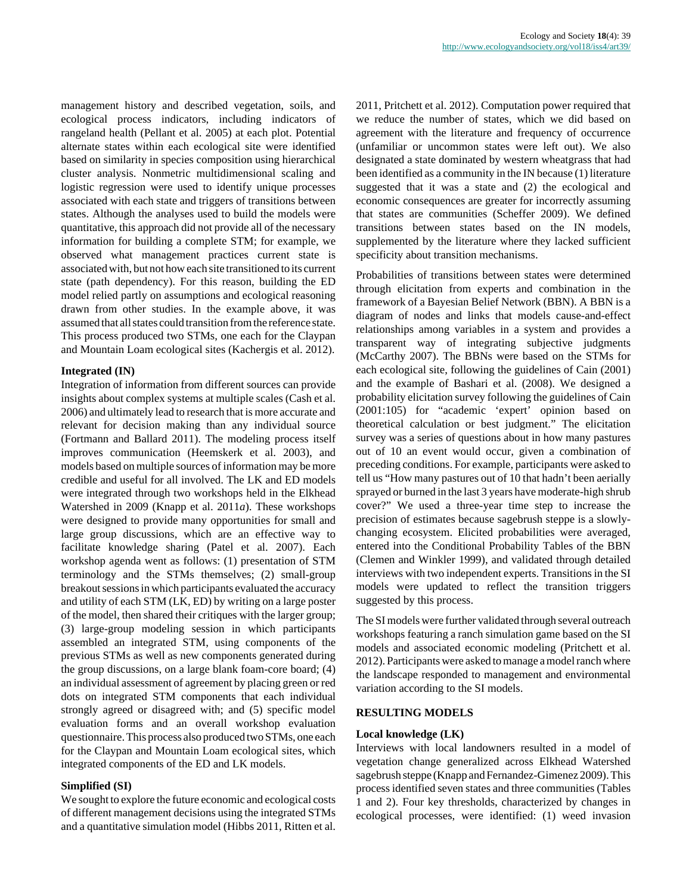management history and described vegetation, soils, and ecological process indicators, including indicators of rangeland health (Pellant et al. 2005) at each plot. Potential alternate states within each ecological site were identified based on similarity in species composition using hierarchical cluster analysis. Nonmetric multidimensional scaling and logistic regression were used to identify unique processes associated with each state and triggers of transitions between states. Although the analyses used to build the models were quantitative, this approach did not provide all of the necessary information for building a complete STM; for example, we observed what management practices current state is associated with, but not how each site transitioned to its current state (path dependency). For this reason, building the ED model relied partly on assumptions and ecological reasoning drawn from other studies. In the example above, it was assumed that all states could transition from the reference state. This process produced two STMs, one each for the Claypan and Mountain Loam ecological sites (Kachergis et al. 2012).

#### **Integrated (IN)**

Integration of information from different sources can provide insights about complex systems at multiple scales (Cash et al. 2006) and ultimately lead to research that is more accurate and relevant for decision making than any individual source (Fortmann and Ballard 2011). The modeling process itself improves communication (Heemskerk et al. 2003), and models based on multiple sources of information may be more credible and useful for all involved. The LK and ED models were integrated through two workshops held in the Elkhead Watershed in 2009 (Knapp et al. 2011*a*). These workshops were designed to provide many opportunities for small and large group discussions, which are an effective way to facilitate knowledge sharing (Patel et al. 2007). Each workshop agenda went as follows: (1) presentation of STM terminology and the STMs themselves; (2) small-group breakout sessions in which participants evaluated the accuracy and utility of each STM (LK, ED) by writing on a large poster of the model, then shared their critiques with the larger group; (3) large-group modeling session in which participants assembled an integrated STM, using components of the previous STMs as well as new components generated during the group discussions, on a large blank foam-core board; (4) an individual assessment of agreement by placing green or red dots on integrated STM components that each individual strongly agreed or disagreed with; and (5) specific model evaluation forms and an overall workshop evaluation questionnaire. This process also produced two STMs, one each for the Claypan and Mountain Loam ecological sites, which integrated components of the ED and LK models.

#### **Simplified (SI)**

We sought to explore the future economic and ecological costs of different management decisions using the integrated STMs and a quantitative simulation model (Hibbs 2011, Ritten et al. 2011, Pritchett et al. 2012). Computation power required that we reduce the number of states, which we did based on agreement with the literature and frequency of occurrence (unfamiliar or uncommon states were left out). We also designated a state dominated by western wheatgrass that had been identified as a community in the IN because (1) literature suggested that it was a state and (2) the ecological and economic consequences are greater for incorrectly assuming that states are communities (Scheffer 2009). We defined transitions between states based on the IN models, supplemented by the literature where they lacked sufficient specificity about transition mechanisms.

Probabilities of transitions between states were determined through elicitation from experts and combination in the framework of a Bayesian Belief Network (BBN). A BBN is a diagram of nodes and links that models cause-and-effect relationships among variables in a system and provides a transparent way of integrating subjective judgments (McCarthy 2007). The BBNs were based on the STMs for each ecological site, following the guidelines of Cain (2001) and the example of Bashari et al. (2008). We designed a probability elicitation survey following the guidelines of Cain (2001:105) for "academic 'expert' opinion based on theoretical calculation or best judgment." The elicitation survey was a series of questions about in how many pastures out of 10 an event would occur, given a combination of preceding conditions. For example, participants were asked to tell us "How many pastures out of 10 that hadn't been aerially sprayed or burned in the last 3 years have moderate-high shrub cover?" We used a three-year time step to increase the precision of estimates because sagebrush steppe is a slowlychanging ecosystem. Elicited probabilities were averaged, entered into the Conditional Probability Tables of the BBN (Clemen and Winkler 1999), and validated through detailed interviews with two independent experts. Transitions in the SI models were updated to reflect the transition triggers suggested by this process.

The SI models were further validated through several outreach workshops featuring a ranch simulation game based on the SI models and associated economic modeling (Pritchett et al. 2012). Participants were asked to manage a model ranch where the landscape responded to management and environmental variation according to the SI models.

#### **RESULTING MODELS**

#### **Local knowledge (LK)**

Interviews with local landowners resulted in a model of vegetation change generalized across Elkhead Watershed sagebrush steppe (Knapp and Fernandez-Gimenez 2009). This process identified seven states and three communities (Tables 1 and 2). Four key thresholds, characterized by changes in ecological processes, were identified: (1) weed invasion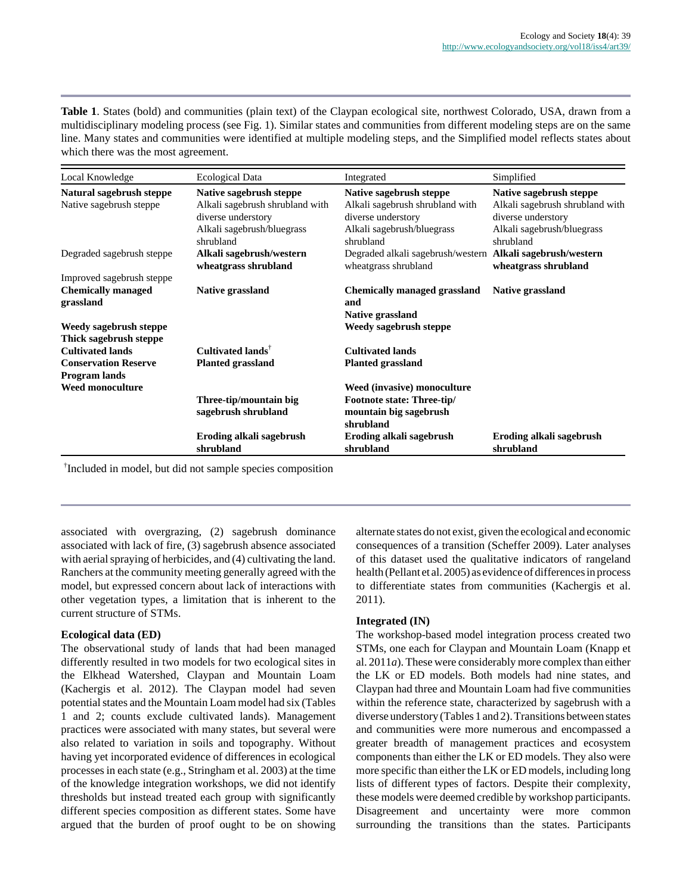**Table 1**. States (bold) and communities (plain text) of the Claypan ecological site, northwest Colorado, USA, drawn from a multidisciplinary modeling process (see Fig. 1). Similar states and communities from different modeling steps are on the same line. Many states and communities were identified at multiple modeling steps, and the Simplified model reflects states about which there was the most agreement.

| Local Knowledge                        | <b>Ecological Data</b>          | Integrated                                                 | Simplified                      |
|----------------------------------------|---------------------------------|------------------------------------------------------------|---------------------------------|
| Natural sagebrush steppe               | Native sagebrush steppe         | Native sagebrush steppe                                    | Native sagebrush steppe         |
| Native sagebrush steppe                | Alkali sagebrush shrubland with | Alkali sagebrush shrubland with                            | Alkali sagebrush shrubland with |
|                                        | diverse understory              | diverse understory                                         | diverse understory              |
|                                        | Alkali sagebrush/bluegrass      | Alkali sagebrush/bluegrass                                 | Alkali sagebrush/bluegrass      |
|                                        | shrubland                       | shrubland                                                  | shrubland                       |
| Degraded sagebrush steppe              | Alkali sagebrush/western        | Degraded alkali sagebrush/western Alkali sagebrush/western |                                 |
|                                        | wheatgrass shrubland            | wheatgrass shrubland                                       | wheatgrass shrubland            |
| Improved sagebrush steppe              |                                 |                                                            |                                 |
| <b>Chemically managed</b><br>grassland | Native grassland                | <b>Chemically managed grassland</b><br>and                 | Native grassland                |
|                                        |                                 | Native grassland                                           |                                 |
| Weedy sagebrush steppe                 |                                 | Weedy sagebrush steppe                                     |                                 |
| Thick sagebrush steppe                 |                                 |                                                            |                                 |
| <b>Cultivated lands</b>                | Cultivated lands <sup>†</sup>   | <b>Cultivated lands</b>                                    |                                 |
| <b>Conservation Reserve</b>            | <b>Planted grassland</b>        | <b>Planted grassland</b>                                   |                                 |
| <b>Program lands</b>                   |                                 |                                                            |                                 |
| Weed monoculture                       |                                 | Weed (invasive) monoculture                                |                                 |
|                                        | Three-tip/mountain big          | <b>Footnote state: Three-tip/</b>                          |                                 |
|                                        | sagebrush shrubland             | mountain big sagebrush                                     |                                 |
|                                        |                                 | shrubland                                                  |                                 |
|                                        | Eroding alkali sagebrush        | Eroding alkali sagebrush                                   | Eroding alkali sagebrush        |
|                                        | shrubland                       | shrubland                                                  | shrubland                       |

† Included in model, but did not sample species composition

associated with overgrazing, (2) sagebrush dominance associated with lack of fire, (3) sagebrush absence associated with aerial spraying of herbicides, and (4) cultivating the land. Ranchers at the community meeting generally agreed with the model, but expressed concern about lack of interactions with other vegetation types, a limitation that is inherent to the current structure of STMs.

## **Ecological data (ED)**

The observational study of lands that had been managed differently resulted in two models for two ecological sites in the Elkhead Watershed, Claypan and Mountain Loam (Kachergis et al. 2012). The Claypan model had seven potential states and the Mountain Loam model had six (Tables 1 and 2; counts exclude cultivated lands). Management practices were associated with many states, but several were also related to variation in soils and topography. Without having yet incorporated evidence of differences in ecological processes in each state (e.g., Stringham et al. 2003) at the time of the knowledge integration workshops, we did not identify thresholds but instead treated each group with significantly different species composition as different states. Some have argued that the burden of proof ought to be on showing alternate states do not exist, given the ecological and economic consequences of a transition (Scheffer 2009). Later analyses of this dataset used the qualitative indicators of rangeland health (Pellant et al. 2005) as evidence of differences in process to differentiate states from communities (Kachergis et al. 2011).

## **Integrated (IN)**

The workshop-based model integration process created two STMs, one each for Claypan and Mountain Loam (Knapp et al. 2011*a*). These were considerably more complex than either the LK or ED models. Both models had nine states, and Claypan had three and Mountain Loam had five communities within the reference state, characterized by sagebrush with a diverse understory (Tables 1 and 2). Transitions between states and communities were more numerous and encompassed a greater breadth of management practices and ecosystem components than either the LK or ED models. They also were more specific than either the LK or ED models, including long lists of different types of factors. Despite their complexity, these models were deemed credible by workshop participants. Disagreement and uncertainty were more common surrounding the transitions than the states. Participants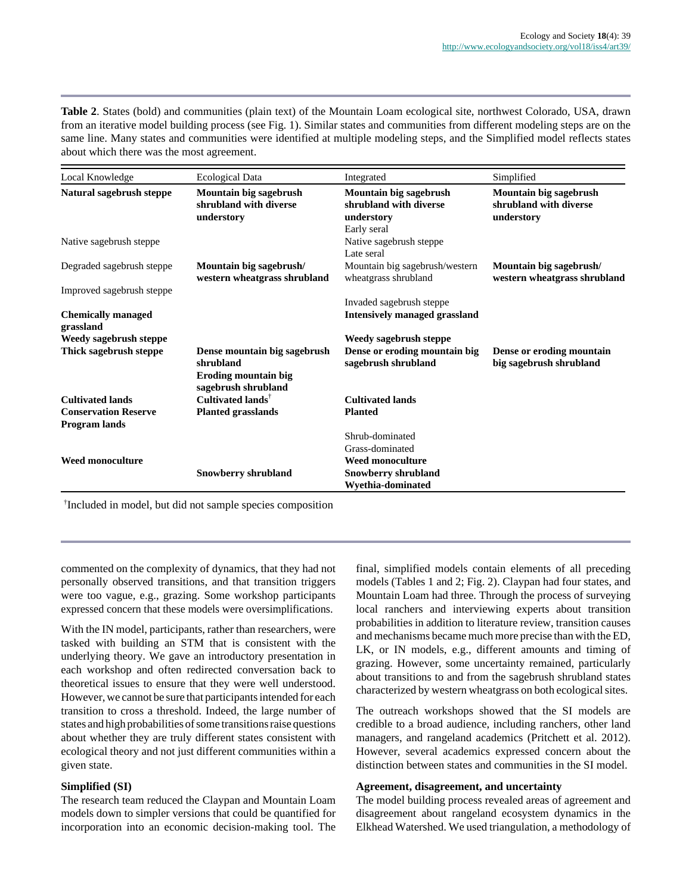**Table 2**. States (bold) and communities (plain text) of the Mountain Loam ecological site, northwest Colorado, USA, drawn from an iterative model building process (see Fig. 1). Similar states and communities from different modeling steps are on the same line. Many states and communities were identified at multiple modeling steps, and the Simplified model reflects states about which there was the most agreement.

| Local Knowledge                              | <b>Ecological Data</b>                                                                          | Integrated                                                       | Simplified                                                     |
|----------------------------------------------|-------------------------------------------------------------------------------------------------|------------------------------------------------------------------|----------------------------------------------------------------|
| Natural sagebrush steppe                     | Mountain big sagebrush<br>shrubland with diverse<br>understory                                  | Mountain big sagebrush<br>shrubland with diverse<br>understory   | Mountain big sagebrush<br>shrubland with diverse<br>understory |
| Native sagebrush steppe                      |                                                                                                 | Early seral<br>Native sagebrush steppe<br>Late seral             |                                                                |
| Degraded sagebrush steppe                    | Mountain big sagebrush/<br>western wheatgrass shrubland                                         | Mountain big sagebrush/western<br>wheatgrass shrubland           | Mountain big sagebrush/<br>western wheatgrass shrubland        |
| Improved sagebrush steppe                    |                                                                                                 |                                                                  |                                                                |
| <b>Chemically managed</b><br>grassland       |                                                                                                 | Invaded sagebrush steppe<br><b>Intensively managed grassland</b> |                                                                |
| Weedy sagebrush steppe                       |                                                                                                 | Weedy sagebrush steppe                                           |                                                                |
| Thick sagebrush steppe                       | Dense mountain big sagebrush<br>shrubland<br><b>Eroding mountain big</b><br>sagebrush shrubland | Dense or eroding mountain big<br>sagebrush shrubland             | Dense or eroding mountain<br>big sagebrush shrubland           |
| <b>Cultivated lands</b>                      | Cultivated lands <sup>†</sup>                                                                   | <b>Cultivated lands</b>                                          |                                                                |
| <b>Conservation Reserve</b><br>Program lands | <b>Planted grasslands</b>                                                                       | <b>Planted</b>                                                   |                                                                |
|                                              |                                                                                                 | Shrub-dominated                                                  |                                                                |
|                                              |                                                                                                 | Grass-dominated                                                  |                                                                |
| Weed monoculture                             |                                                                                                 | Weed monoculture                                                 |                                                                |
|                                              | Snowberry shrubland                                                                             | Snowberry shrubland                                              |                                                                |
|                                              |                                                                                                 | Wyethia-dominated                                                |                                                                |

† Included in model, but did not sample species composition

commented on the complexity of dynamics, that they had not personally observed transitions, and that transition triggers were too vague, e.g., grazing. Some workshop participants expressed concern that these models were oversimplifications.

With the IN model, participants, rather than researchers, were tasked with building an STM that is consistent with the underlying theory. We gave an introductory presentation in each workshop and often redirected conversation back to theoretical issues to ensure that they were well understood. However, we cannot be sure that participants intended for each transition to cross a threshold. Indeed, the large number of states and high probabilities of some transitions raise questions about whether they are truly different states consistent with ecological theory and not just different communities within a given state.

## **Simplified (SI)**

The research team reduced the Claypan and Mountain Loam models down to simpler versions that could be quantified for incorporation into an economic decision-making tool. The final, simplified models contain elements of all preceding models (Tables 1 and 2; Fig. 2). Claypan had four states, and Mountain Loam had three. Through the process of surveying local ranchers and interviewing experts about transition probabilities in addition to literature review, transition causes and mechanisms became much more precise than with the ED, LK, or IN models, e.g., different amounts and timing of grazing. However, some uncertainty remained, particularly about transitions to and from the sagebrush shrubland states characterized by western wheatgrass on both ecological sites.

The outreach workshops showed that the SI models are credible to a broad audience, including ranchers, other land managers, and rangeland academics (Pritchett et al. 2012). However, several academics expressed concern about the distinction between states and communities in the SI model.

## **Agreement, disagreement, and uncertainty**

The model building process revealed areas of agreement and disagreement about rangeland ecosystem dynamics in the Elkhead Watershed. We used triangulation, a methodology of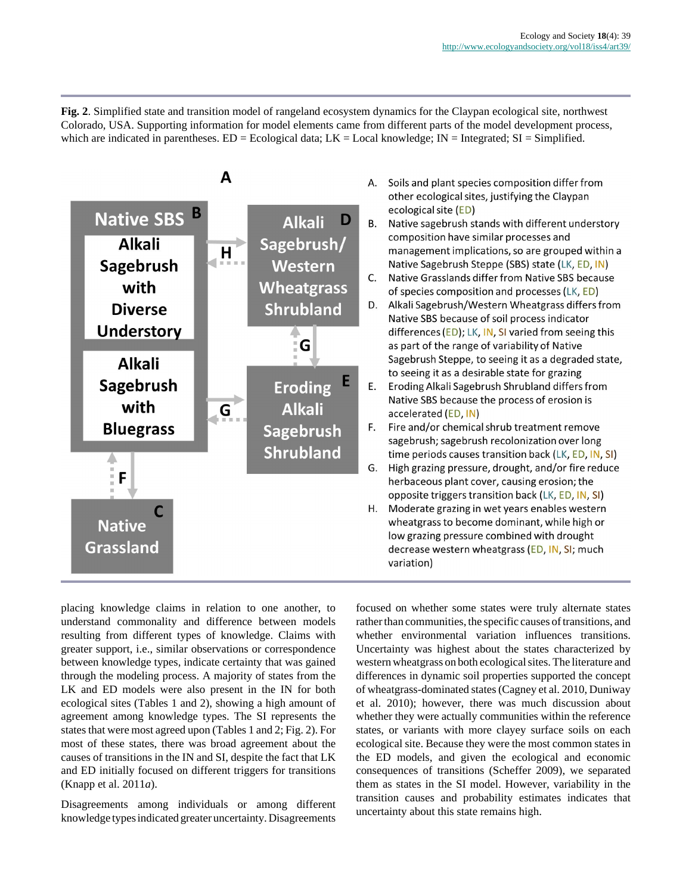**Fig. 2**. Simplified state and transition model of rangeland ecosystem dynamics for the Claypan ecological site, northwest Colorado, USA. Supporting information for model elements came from different parts of the model development process, which are indicated in parentheses.  $ED = Ecological data$ ;  $LK = Local knowledge$ ;  $IN = Integrated$ ;  $SI = Simplified$ .



placing knowledge claims in relation to one another, to understand commonality and difference between models resulting from different types of knowledge. Claims with greater support, i.e., similar observations or correspondence between knowledge types, indicate certainty that was gained through the modeling process. A majority of states from the LK and ED models were also present in the IN for both ecological sites (Tables 1 and 2), showing a high amount of agreement among knowledge types. The SI represents the states that were most agreed upon (Tables 1 and 2; Fig. 2). For most of these states, there was broad agreement about the causes of transitions in the IN and SI, despite the fact that LK and ED initially focused on different triggers for transitions (Knapp et al. 2011*a*).

Disagreements among individuals or among different knowledge types indicated greater uncertainty. Disagreements

focused on whether some states were truly alternate states rather than communities, the specific causes of transitions, and whether environmental variation influences transitions. Uncertainty was highest about the states characterized by western wheatgrass on both ecological sites. The literature and differences in dynamic soil properties supported the concept of wheatgrass-dominated states (Cagney et al. 2010, Duniway et al. 2010); however, there was much discussion about whether they were actually communities within the reference states, or variants with more clayey surface soils on each ecological site. Because they were the most common states in the ED models, and given the ecological and economic consequences of transitions (Scheffer 2009), we separated them as states in the SI model. However, variability in the transition causes and probability estimates indicates that uncertainty about this state remains high.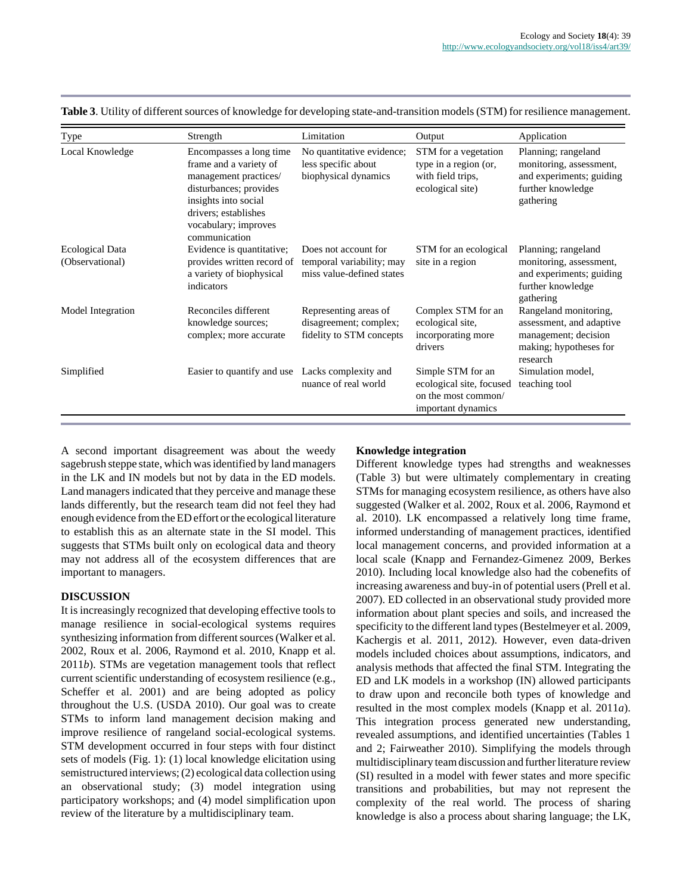| Type                                      | Strength                                                                                                                                                                                      | Limitation                                                                     | Output                                                                                     | Application                                                                                                     |
|-------------------------------------------|-----------------------------------------------------------------------------------------------------------------------------------------------------------------------------------------------|--------------------------------------------------------------------------------|--------------------------------------------------------------------------------------------|-----------------------------------------------------------------------------------------------------------------|
| Local Knowledge                           | Encompasses a long time<br>frame and a variety of<br>management practices/<br>disturbances; provides<br>insights into social<br>drivers; establishes<br>vocabulary; improves<br>communication | No quantitative evidence;<br>less specific about<br>biophysical dynamics       | STM for a vegetation<br>type in a region (or,<br>with field trips,<br>ecological site)     | Planning; rangeland<br>monitoring, assessment,<br>and experiments; guiding<br>further knowledge<br>gathering    |
| <b>Ecological Data</b><br>(Observational) | Evidence is quantitative;<br>provides written record of<br>a variety of biophysical<br>indicators                                                                                             | Does not account for<br>temporal variability; may<br>miss value-defined states | STM for an ecological<br>site in a region                                                  | Planning; rangeland<br>monitoring, assessment,<br>and experiments; guiding<br>further knowledge<br>gathering    |
| Model Integration                         | Reconciles different<br>knowledge sources;<br>complex; more accurate                                                                                                                          | Representing areas of<br>disagreement; complex;<br>fidelity to STM concepts    | Complex STM for an<br>ecological site,<br>incorporating more<br>drivers                    | Rangeland monitoring,<br>assessment, and adaptive<br>management; decision<br>making; hypotheses for<br>research |
| Simplified                                | Easier to quantify and use                                                                                                                                                                    | Lacks complexity and<br>nuance of real world                                   | Simple STM for an<br>ecological site, focused<br>on the most common/<br>important dynamics | Simulation model,<br>teaching tool                                                                              |

**Table 3**. Utility of different sources of knowledge for developing state-and-transition models (STM) for resilience management.

A second important disagreement was about the weedy sagebrush steppe state, which was identified by land managers in the LK and IN models but not by data in the ED models. Land managers indicated that they perceive and manage these lands differently, but the research team did not feel they had enough evidence from the ED effort or the ecological literature to establish this as an alternate state in the SI model. This suggests that STMs built only on ecological data and theory may not address all of the ecosystem differences that are important to managers.

#### **DISCUSSION**

It is increasingly recognized that developing effective tools to manage resilience in social-ecological systems requires synthesizing information from different sources (Walker et al. 2002, Roux et al. 2006, Raymond et al. 2010, Knapp et al. 2011*b*). STMs are vegetation management tools that reflect current scientific understanding of ecosystem resilience (e.g., Scheffer et al. 2001) and are being adopted as policy throughout the U.S. (USDA 2010). Our goal was to create STMs to inform land management decision making and improve resilience of rangeland social-ecological systems. STM development occurred in four steps with four distinct sets of models (Fig. 1): (1) local knowledge elicitation using semistructured interviews; (2) ecological data collection using an observational study; (3) model integration using participatory workshops; and (4) model simplification upon review of the literature by a multidisciplinary team.

## **Knowledge integration**

Different knowledge types had strengths and weaknesses (Table 3) but were ultimately complementary in creating STMs for managing ecosystem resilience, as others have also suggested (Walker et al. 2002, Roux et al. 2006, Raymond et al. 2010). LK encompassed a relatively long time frame, informed understanding of management practices, identified local management concerns, and provided information at a local scale (Knapp and Fernandez-Gimenez 2009, Berkes 2010). Including local knowledge also had the cobenefits of increasing awareness and buy-in of potential users (Prell et al. 2007). ED collected in an observational study provided more information about plant species and soils, and increased the specificity to the different land types (Bestelmeyer et al. 2009, Kachergis et al. 2011, 2012). However, even data-driven models included choices about assumptions, indicators, and analysis methods that affected the final STM. Integrating the ED and LK models in a workshop (IN) allowed participants to draw upon and reconcile both types of knowledge and resulted in the most complex models (Knapp et al. 2011*a*). This integration process generated new understanding, revealed assumptions, and identified uncertainties (Tables 1 and 2; Fairweather 2010). Simplifying the models through multidisciplinary team discussion and further literature review (SI) resulted in a model with fewer states and more specific transitions and probabilities, but may not represent the complexity of the real world. The process of sharing knowledge is also a process about sharing language; the LK,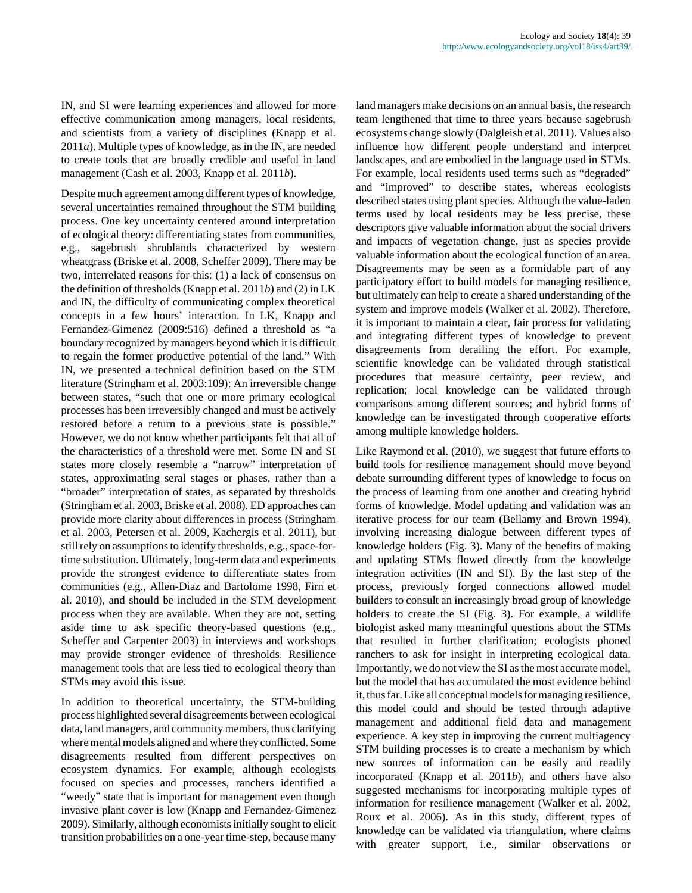IN, and SI were learning experiences and allowed for more effective communication among managers, local residents, and scientists from a variety of disciplines (Knapp et al. 2011*a*). Multiple types of knowledge, as in the IN, are needed to create tools that are broadly credible and useful in land management (Cash et al. 2003, Knapp et al. 2011*b*).

Despite much agreement among different types of knowledge, several uncertainties remained throughout the STM building process. One key uncertainty centered around interpretation of ecological theory: differentiating states from communities, e.g., sagebrush shrublands characterized by western wheatgrass (Briske et al. 2008, Scheffer 2009). There may be two, interrelated reasons for this: (1) a lack of consensus on the definition of thresholds (Knapp et al. 2011*b*) and (2) in LK and IN, the difficulty of communicating complex theoretical concepts in a few hours' interaction. In LK, Knapp and Fernandez-Gimenez (2009:516) defined a threshold as "a boundary recognized by managers beyond which it is difficult to regain the former productive potential of the land." With IN, we presented a technical definition based on the STM literature (Stringham et al. 2003:109): An irreversible change between states, "such that one or more primary ecological processes has been irreversibly changed and must be actively restored before a return to a previous state is possible." However, we do not know whether participants felt that all of the characteristics of a threshold were met. Some IN and SI states more closely resemble a "narrow" interpretation of states, approximating seral stages or phases, rather than a "broader" interpretation of states, as separated by thresholds (Stringham et al. 2003, Briske et al. 2008). ED approaches can provide more clarity about differences in process (Stringham et al. 2003, Petersen et al. 2009, Kachergis et al. 2011), but still rely on assumptions to identify thresholds, e.g., space-fortime substitution. Ultimately, long-term data and experiments provide the strongest evidence to differentiate states from communities (e.g., Allen-Diaz and Bartolome 1998, Firn et al. 2010), and should be included in the STM development process when they are available. When they are not, setting aside time to ask specific theory-based questions (e.g., Scheffer and Carpenter 2003) in interviews and workshops may provide stronger evidence of thresholds. Resilience management tools that are less tied to ecological theory than STMs may avoid this issue.

In addition to theoretical uncertainty, the STM-building process highlighted several disagreements between ecological data, land managers, and community members, thus clarifying where mental models aligned and where they conflicted. Some disagreements resulted from different perspectives on ecosystem dynamics. For example, although ecologists focused on species and processes, ranchers identified a "weedy" state that is important for management even though invasive plant cover is low (Knapp and Fernandez-Gimenez 2009). Similarly, although economists initially sought to elicit transition probabilities on a one-year time-step, because many land managers make decisions on an annual basis, the research team lengthened that time to three years because sagebrush ecosystems change slowly (Dalgleish et al. 2011). Values also influence how different people understand and interpret landscapes, and are embodied in the language used in STMs. For example, local residents used terms such as "degraded" and "improved" to describe states, whereas ecologists described states using plant species. Although the value-laden terms used by local residents may be less precise, these descriptors give valuable information about the social drivers and impacts of vegetation change, just as species provide valuable information about the ecological function of an area. Disagreements may be seen as a formidable part of any participatory effort to build models for managing resilience, but ultimately can help to create a shared understanding of the system and improve models (Walker et al. 2002). Therefore, it is important to maintain a clear, fair process for validating and integrating different types of knowledge to prevent disagreements from derailing the effort. For example, scientific knowledge can be validated through statistical procedures that measure certainty, peer review, and replication; local knowledge can be validated through comparisons among different sources; and hybrid forms of knowledge can be investigated through cooperative efforts among multiple knowledge holders.

Like Raymond et al. (2010), we suggest that future efforts to build tools for resilience management should move beyond debate surrounding different types of knowledge to focus on the process of learning from one another and creating hybrid forms of knowledge. Model updating and validation was an iterative process for our team (Bellamy and Brown 1994), involving increasing dialogue between different types of knowledge holders (Fig. 3). Many of the benefits of making and updating STMs flowed directly from the knowledge integration activities (IN and SI). By the last step of the process, previously forged connections allowed model builders to consult an increasingly broad group of knowledge holders to create the SI (Fig. 3). For example, a wildlife biologist asked many meaningful questions about the STMs that resulted in further clarification; ecologists phoned ranchers to ask for insight in interpreting ecological data. Importantly, we do not view the SI as the most accurate model, but the model that has accumulated the most evidence behind it, thus far. Like all conceptual models for managing resilience, this model could and should be tested through adaptive management and additional field data and management experience. A key step in improving the current multiagency STM building processes is to create a mechanism by which new sources of information can be easily and readily incorporated (Knapp et al. 2011*b*), and others have also suggested mechanisms for incorporating multiple types of information for resilience management (Walker et al. 2002, Roux et al. 2006). As in this study, different types of knowledge can be validated via triangulation, where claims with greater support, i.e., similar observations or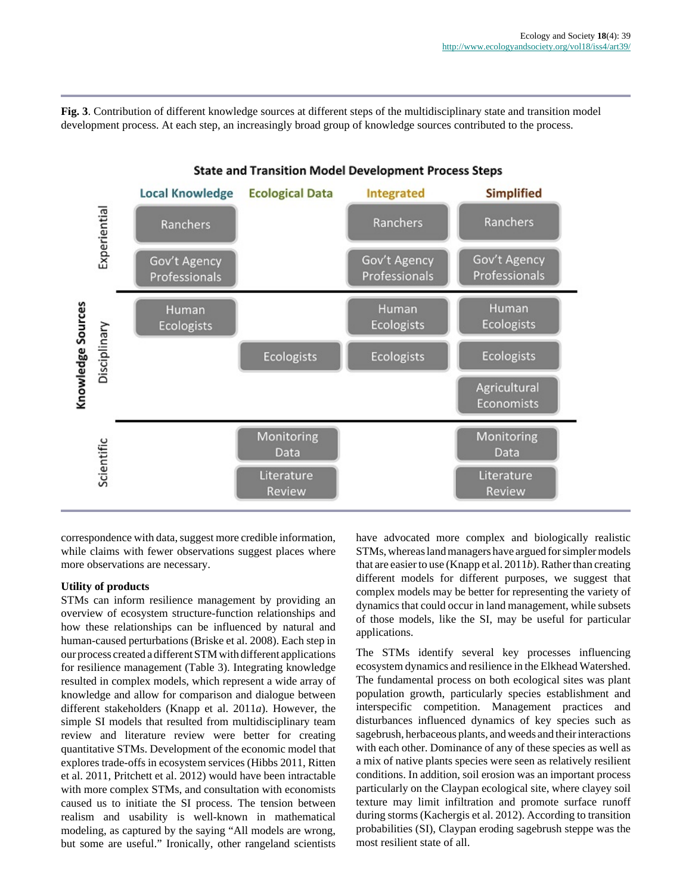**Fig. 3**. Contribution of different knowledge sources at different steps of the multidisciplinary state and transition model development process. At each step, an increasingly broad group of knowledge sources contributed to the process.



# **State and Transition Model Development Process Steps**

correspondence with data, suggest more credible information, while claims with fewer observations suggest places where more observations are necessary.

#### **Utility of products**

STMs can inform resilience management by providing an overview of ecosystem structure-function relationships and how these relationships can be influenced by natural and human-caused perturbations (Briske et al. 2008). Each step in our process created a different STM with different applications for resilience management (Table 3). Integrating knowledge resulted in complex models, which represent a wide array of knowledge and allow for comparison and dialogue between different stakeholders (Knapp et al. 2011*a*). However, the simple SI models that resulted from multidisciplinary team review and literature review were better for creating quantitative STMs. Development of the economic model that explores trade-offs in ecosystem services (Hibbs 2011, Ritten et al. 2011, Pritchett et al. 2012) would have been intractable with more complex STMs, and consultation with economists caused us to initiate the SI process. The tension between realism and usability is well-known in mathematical modeling, as captured by the saying "All models are wrong, but some are useful." Ironically, other rangeland scientists

have advocated more complex and biologically realistic STMs, whereas land managers have argued for simpler models that are easier to use (Knapp et al. 2011*b*). Rather than creating different models for different purposes, we suggest that complex models may be better for representing the variety of dynamics that could occur in land management, while subsets of those models, like the SI, may be useful for particular applications.

The STMs identify several key processes influencing ecosystem dynamics and resilience in the Elkhead Watershed. The fundamental process on both ecological sites was plant population growth, particularly species establishment and interspecific competition. Management practices and disturbances influenced dynamics of key species such as sagebrush, herbaceous plants, and weeds and their interactions with each other. Dominance of any of these species as well as a mix of native plants species were seen as relatively resilient conditions. In addition, soil erosion was an important process particularly on the Claypan ecological site, where clayey soil texture may limit infiltration and promote surface runoff during storms (Kachergis et al. 2012). According to transition probabilities (SI), Claypan eroding sagebrush steppe was the most resilient state of all.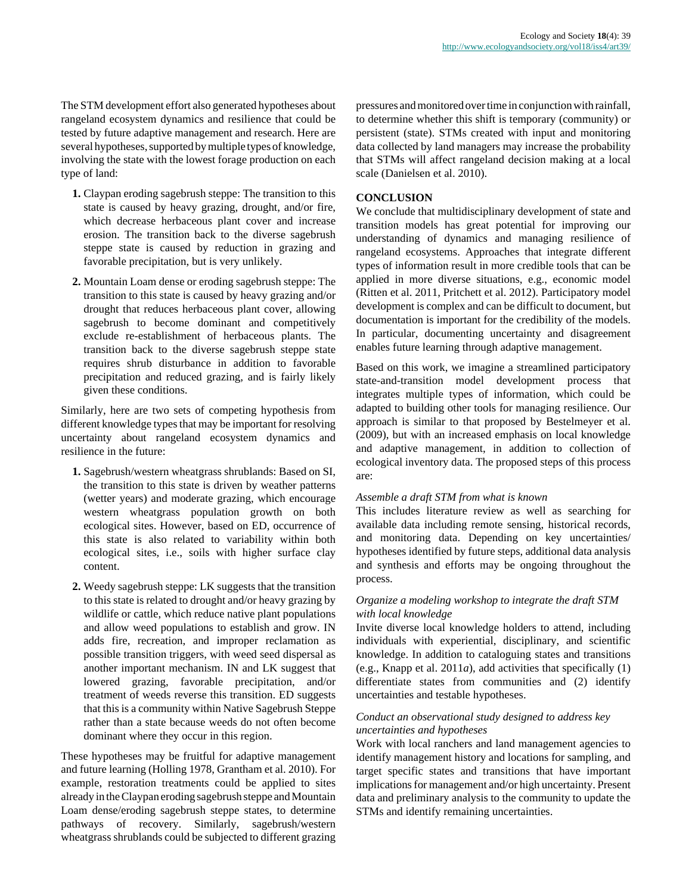The STM development effort also generated hypotheses about rangeland ecosystem dynamics and resilience that could be tested by future adaptive management and research. Here are several hypotheses, supported by multiple types of knowledge, involving the state with the lowest forage production on each type of land:

- **1.** Claypan eroding sagebrush steppe: The transition to this state is caused by heavy grazing, drought, and/or fire, which decrease herbaceous plant cover and increase erosion. The transition back to the diverse sagebrush steppe state is caused by reduction in grazing and favorable precipitation, but is very unlikely.
- **2.** Mountain Loam dense or eroding sagebrush steppe: The transition to this state is caused by heavy grazing and/or drought that reduces herbaceous plant cover, allowing sagebrush to become dominant and competitively exclude re-establishment of herbaceous plants. The transition back to the diverse sagebrush steppe state requires shrub disturbance in addition to favorable precipitation and reduced grazing, and is fairly likely given these conditions.

Similarly, here are two sets of competing hypothesis from different knowledge types that may be important for resolving uncertainty about rangeland ecosystem dynamics and resilience in the future:

- **1.** Sagebrush/western wheatgrass shrublands: Based on SI, the transition to this state is driven by weather patterns (wetter years) and moderate grazing, which encourage western wheatgrass population growth on both ecological sites. However, based on ED, occurrence of this state is also related to variability within both ecological sites, i.e., soils with higher surface clay content.
- **2.** Weedy sagebrush steppe: LK suggests that the transition to this state is related to drought and/or heavy grazing by wildlife or cattle, which reduce native plant populations and allow weed populations to establish and grow. IN adds fire, recreation, and improper reclamation as possible transition triggers, with weed seed dispersal as another important mechanism. IN and LK suggest that lowered grazing, favorable precipitation, and/or treatment of weeds reverse this transition. ED suggests that this is a community within Native Sagebrush Steppe rather than a state because weeds do not often become dominant where they occur in this region.

These hypotheses may be fruitful for adaptive management and future learning (Holling 1978, Grantham et al. 2010). For example, restoration treatments could be applied to sites already in the Claypan eroding sagebrush steppe and Mountain Loam dense/eroding sagebrush steppe states, to determine pathways of recovery. Similarly, sagebrush/western wheatgrass shrublands could be subjected to different grazing

pressures and monitored over time in conjunction with rainfall, to determine whether this shift is temporary (community) or persistent (state). STMs created with input and monitoring data collected by land managers may increase the probability that STMs will affect rangeland decision making at a local scale (Danielsen et al. 2010).

## **CONCLUSION**

We conclude that multidisciplinary development of state and transition models has great potential for improving our understanding of dynamics and managing resilience of rangeland ecosystems. Approaches that integrate different types of information result in more credible tools that can be applied in more diverse situations, e.g., economic model (Ritten et al. 2011, Pritchett et al. 2012). Participatory model development is complex and can be difficult to document, but documentation is important for the credibility of the models. In particular, documenting uncertainty and disagreement enables future learning through adaptive management.

Based on this work, we imagine a streamlined participatory state-and-transition model development process that integrates multiple types of information, which could be adapted to building other tools for managing resilience. Our approach is similar to that proposed by Bestelmeyer et al. (2009), but with an increased emphasis on local knowledge and adaptive management, in addition to collection of ecological inventory data. The proposed steps of this process are:

## *Assemble a draft STM from what is known*

This includes literature review as well as searching for available data including remote sensing, historical records, and monitoring data. Depending on key uncertainties/ hypotheses identified by future steps, additional data analysis and synthesis and efforts may be ongoing throughout the process.

## *Organize a modeling workshop to integrate the draft STM with local knowledge*

Invite diverse local knowledge holders to attend, including individuals with experiential, disciplinary, and scientific knowledge. In addition to cataloguing states and transitions (e.g., Knapp et al. 2011*a*), add activities that specifically (1) differentiate states from communities and (2) identify uncertainties and testable hypotheses.

## *Conduct an observational study designed to address key uncertainties and hypotheses*

Work with local ranchers and land management agencies to identify management history and locations for sampling, and target specific states and transitions that have important implications for management and/or high uncertainty. Present data and preliminary analysis to the community to update the STMs and identify remaining uncertainties.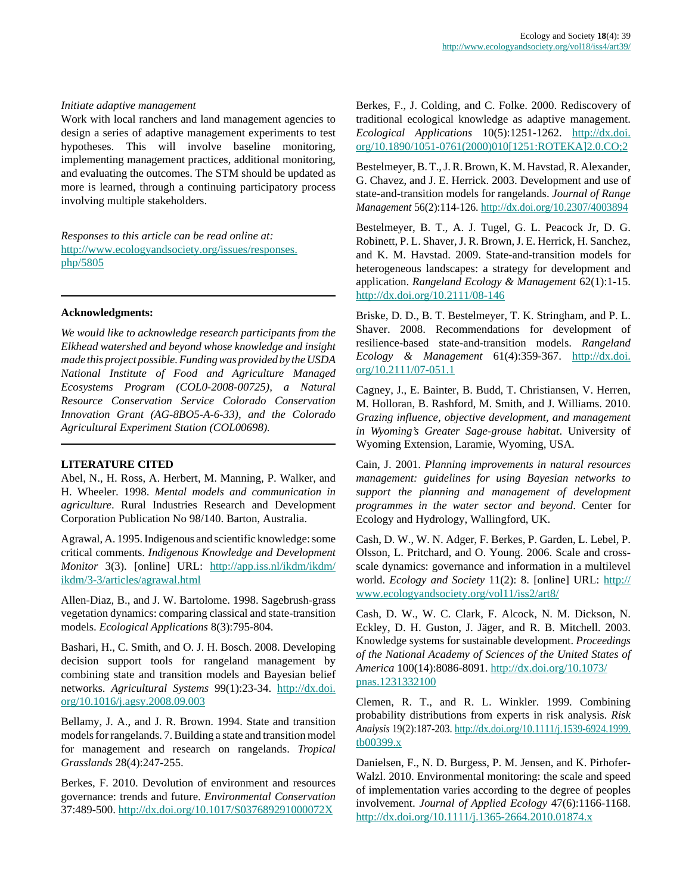#### *Initiate adaptive management*

Work with local ranchers and land management agencies to design a series of adaptive management experiments to test hypotheses. This will involve baseline monitoring, implementing management practices, additional monitoring, and evaluating the outcomes. The STM should be updated as more is learned, through a continuing participatory process involving multiple stakeholders.

*Responses to this article can be read online at:* [http://www.ecologyandsociety.org/issues/responses.](http://www.ecologyandsociety.org/issues/responses.php/5805) [php/5805](http://www.ecologyandsociety.org/issues/responses.php/5805)

#### **Acknowledgments:**

*We would like to acknowledge research participants from the Elkhead watershed and beyond whose knowledge and insight made this project possible. Funding was provided by the USDA National Institute of Food and Agriculture Managed Ecosystems Program (COL0-2008-00725), a Natural Resource Conservation Service Colorado Conservation Innovation Grant (AG-8BO5-A-6-33), and the Colorado Agricultural Experiment Station (COL00698).*

#### **LITERATURE CITED**

Abel, N., H. Ross, A. Herbert, M. Manning, P. Walker, and H. Wheeler. 1998. *Mental models and communication in agriculture*. Rural Industries Research and Development Corporation Publication No 98/140. Barton, Australia.

Agrawal, A. 1995. Indigenous and scientific knowledge: some critical comments. *Indigenous Knowledge and Development Monitor* 3(3). [online] URL: [http://app.iss.nl/ikdm/ikdm/](http://app.iss.nl/ikdm/ikdm/ikdm/3-3/articles/agrawal.html) [ikdm/3-3/articles/agrawal.html](http://app.iss.nl/ikdm/ikdm/ikdm/3-3/articles/agrawal.html)

Allen-Diaz, B., and J. W. Bartolome. 1998. Sagebrush-grass vegetation dynamics: comparing classical and state-transition models. *Ecological Applications* 8(3):795-804.

Bashari, H., C. Smith, and O. J. H. Bosch. 2008. Developing decision support tools for rangeland management by combining state and transition models and Bayesian belief networks. *Agricultural Systems* 99(1):23-34. [http://dx.doi.](http://dx.doi.org/10.1016/j.agsy.2008.09.003) [org/10.1016/j.agsy.2008.09.003](http://dx.doi.org/10.1016/j.agsy.2008.09.003)

Bellamy, J. A., and J. R. Brown. 1994. State and transition models for rangelands. 7. Building a state and transition model for management and research on rangelands. *Tropical Grasslands* 28(4):247-255.

Berkes, F. 2010. Devolution of environment and resources governance: trends and future. *Environmental Conservation* 37:489-500. <http://dx.doi.org/10.1017/S037689291000072X>

Berkes, F., J. Colding, and C. Folke. 2000. Rediscovery of traditional ecological knowledge as adaptive management. *Ecological Applications* 10(5):1251-1262. [http://dx.doi.](http://dx.doi.org/10.1890/1051-0761(2000)010[1251:ROTEKA]2.0.CO;2) [org/10.1890/1051-0761\(2000\)010\[1251:ROTEKA\]2.0.CO;2](http://dx.doi.org/10.1890/1051-0761(2000)010[1251:ROTEKA]2.0.CO;2)

Bestelmeyer, B. T., J. R. Brown, K. M. Havstad, R. Alexander, G. Chavez, and J. E. Herrick. 2003. Development and use of state-and-transition models for rangelands. *Journal of Range Management* 56(2):114-126. <http://dx.doi.org/10.2307/4003894>

Bestelmeyer, B. T., A. J. Tugel, G. L. Peacock Jr, D. G. Robinett, P. L. Shaver, J. R. Brown, J. E. Herrick, H. Sanchez, and K. M. Havstad. 2009. State-and-transition models for heterogeneous landscapes: a strategy for development and application. *Rangeland Ecology & Management* 62(1):1-15. <http://dx.doi.org/10.2111/08-146>

Briske, D. D., B. T. Bestelmeyer, T. K. Stringham, and P. L. Shaver. 2008. Recommendations for development of resilience-based state-and-transition models. *Rangeland Ecology & Management* 61(4):359-367. [http://dx.doi.](http://dx.doi.org/10.2111/07-051.1) [org/10.2111/07-051.1](http://dx.doi.org/10.2111/07-051.1)

Cagney, J., E. Bainter, B. Budd, T. Christiansen, V. Herren, M. Holloran, B. Rashford, M. Smith, and J. Williams. 2010. *Grazing influence, objective development, and management in Wyoming's Greater Sage-grouse habitat*. University of Wyoming Extension, Laramie, Wyoming, USA.

Cain, J. 2001. *Planning improvements in natural resources management: guidelines for using Bayesian networks to support the planning and management of development programmes in the water sector and beyond*. Center for Ecology and Hydrology, Wallingford, UK.

Cash, D. W., W. N. Adger, F. Berkes, P. Garden, L. Lebel, P. Olsson, L. Pritchard, and O. Young. 2006. Scale and crossscale dynamics: governance and information in a multilevel world. *Ecology and Society* 11(2): 8. [online] URL: [http://](http://www.ecologyandsociety.org/vol11/iss2/art8/) [www.ecologyandsociety.org/vol11/iss2/art8/](http://www.ecologyandsociety.org/vol11/iss2/art8/)

Cash, D. W., W. C. Clark, F. Alcock, N. M. Dickson, N. Eckley, D. H. Guston, J. Jäger, and R. B. Mitchell. 2003. Knowledge systems for sustainable development. *Proceedings of the National Academy of Sciences of the United States of America* 100(14):8086-8091. [http://dx.doi.org/10.1073/](http://dx.doi.org/10.1073/pnas.1231332100) [pnas.1231332100](http://dx.doi.org/10.1073/pnas.1231332100)

Clemen, R. T., and R. L. Winkler. 1999. Combining probability distributions from experts in risk analysis. *Risk Analysis* 19(2):187-203. [http://dx.doi.org/10.1111/j.1539-6924.1999.](http://dx.doi.org/10.1111/j.1539-6924.1999.tb00399.x) [tb00399.x](http://dx.doi.org/10.1111/j.1539-6924.1999.tb00399.x)

Danielsen, F., N. D. Burgess, P. M. Jensen, and K. Pirhofer-Walzl. 2010. Environmental monitoring: the scale and speed of implementation varies according to the degree of peoples involvement. *Journal of Applied Ecology* 47(6):1166-1168. <http://dx.doi.org/10.1111/j.1365-2664.2010.01874.x>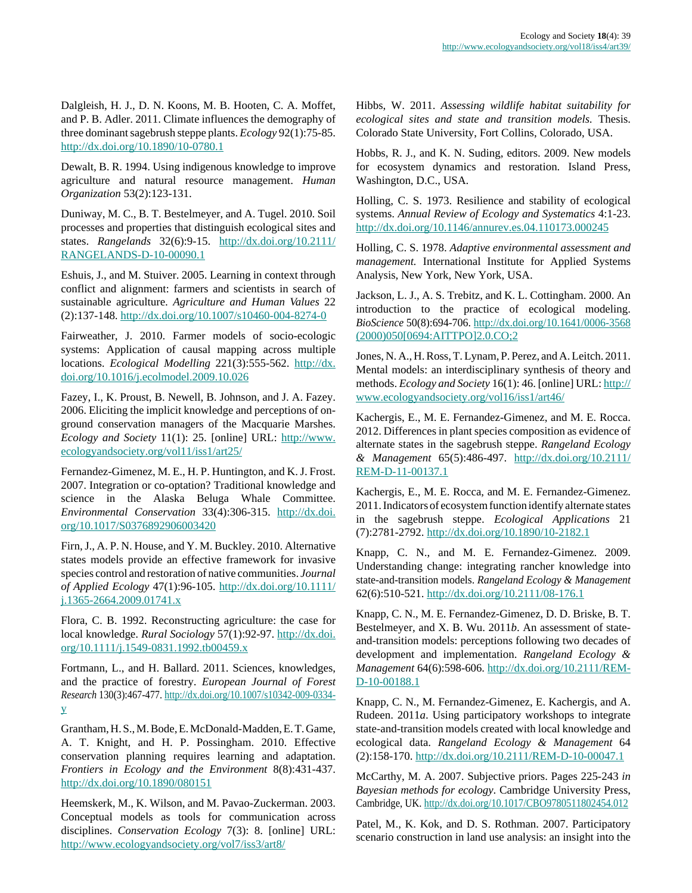Dalgleish, H. J., D. N. Koons, M. B. Hooten, C. A. Moffet, and P. B. Adler. 2011. Climate influences the demography of three dominant sagebrush steppe plants. *Ecology* 92(1):75-85. <http://dx.doi.org/10.1890/10-0780.1>

Dewalt, B. R. 1994. Using indigenous knowledge to improve agriculture and natural resource management. *Human Organization* 53(2):123-131.

Duniway, M. C., B. T. Bestelmeyer, and A. Tugel. 2010. Soil processes and properties that distinguish ecological sites and states. *Rangelands* 32(6):9-15. [http://dx.doi.org/10.2111/](http://dx.doi.org/10.2111/RANGELANDS-D-10-00090.1) [RANGELANDS-D-10-00090.1](http://dx.doi.org/10.2111/RANGELANDS-D-10-00090.1)

Eshuis, J., and M. Stuiver. 2005. Learning in context through conflict and alignment: farmers and scientists in search of sustainable agriculture. *Agriculture and Human Values* 22 (2):137-148. <http://dx.doi.org/10.1007/s10460-004-8274-0>

Fairweather, J. 2010. Farmer models of socio-ecologic systems: Application of causal mapping across multiple locations. *Ecological Modelling* 221(3):555-562. [http://dx.](http://dx.doi.org/10.1016/j.ecolmodel.2009.10.026) [doi.org/10.1016/j.ecolmodel.2009.10.026](http://dx.doi.org/10.1016/j.ecolmodel.2009.10.026)

Fazey, I., K. Proust, B. Newell, B. Johnson, and J. A. Fazey. 2006. Eliciting the implicit knowledge and perceptions of onground conservation managers of the Macquarie Marshes. *Ecology and Society* 11(1): 25. [online] URL: [http://www.](http://www.ecologyandsociety.org/vol11/iss1/art25/) [ecologyandsociety.org/vol11/iss1/art25/](http://www.ecologyandsociety.org/vol11/iss1/art25/)

Fernandez-Gimenez, M. E., H. P. Huntington, and K. J. Frost. 2007. Integration or co-optation? Traditional knowledge and science in the Alaska Beluga Whale Committee. *Environmental Conservation* 33(4):306-315. [http://dx.doi.](http://dx.doi.org/10.1017/S0376892906003420) [org/10.1017/S0376892906003420](http://dx.doi.org/10.1017/S0376892906003420)

Firn, J., A. P. N. House, and Y. M. Buckley. 2010. Alternative states models provide an effective framework for invasive species control and restoration of native communities. *Journal of Applied Ecology* 47(1):96-105. [http://dx.doi.org/10.1111/](http://dx.doi.org/10.1111/j.1365-2664.2009.01741.x) [j.1365-2664.2009.01741.x](http://dx.doi.org/10.1111/j.1365-2664.2009.01741.x)

Flora, C. B. 1992. Reconstructing agriculture: the case for local knowledge. *Rural Sociology* 57(1):92-97. [http://dx.doi.](http://dx.doi.org/10.1111/j.1549-0831.1992.tb00459.x) [org/10.1111/j.1549-0831.1992.tb00459.x](http://dx.doi.org/10.1111/j.1549-0831.1992.tb00459.x)

Fortmann, L., and H. Ballard. 2011. Sciences, knowledges, and the practice of forestry. *European Journal of Forest Research* 130(3):467-477. [http://dx.doi.org/10.1007/s10342-009-0334](http://dx.doi.org/10.1007/s10342-009-0334-y) [y](http://dx.doi.org/10.1007/s10342-009-0334-y)

Grantham, H. S., M. Bode, E. McDonald-Madden, E. T. Game, A. T. Knight, and H. P. Possingham. 2010. Effective conservation planning requires learning and adaptation. *Frontiers in Ecology and the Environment* 8(8):431-437. <http://dx.doi.org/10.1890/080151>

Heemskerk, M., K. Wilson, and M. Pavao-Zuckerman. 2003. Conceptual models as tools for communication across disciplines. *Conservation Ecology* 7(3): 8. [online] URL: <http://www.ecologyandsociety.org/vol7/iss3/art8/>

Hibbs, W. 2011. *Assessing wildlife habitat suitability for ecological sites and state and transition models.* Thesis. Colorado State University, Fort Collins, Colorado, USA.

Hobbs, R. J., and K. N. Suding, editors. 2009. New models for ecosystem dynamics and restoration. Island Press, Washington, D.C., USA.

Holling, C. S. 1973. Resilience and stability of ecological systems. *Annual Review of Ecology and Systematics* 4:1-23. <http://dx.doi.org/10.1146/annurev.es.04.110173.000245>

Holling, C. S. 1978. *Adaptive environmental assessment and management.* International Institute for Applied Systems Analysis, New York, New York, USA.

Jackson, L. J., A. S. Trebitz, and K. L. Cottingham. 2000. An introduction to the practice of ecological modeling. *BioScience* 50(8):694-706. [http://dx.doi.org/10.1641/0006-3568](http://dx.doi.org/10.1641/0006-3568(2000)050[0694:AITTPO]2.0.CO;2) [\(2000\)050\[0694:AITTPO\]2.0.CO;2](http://dx.doi.org/10.1641/0006-3568(2000)050[0694:AITTPO]2.0.CO;2)

Jones, N. A., H. Ross, T. Lynam, P. Perez, and A. Leitch. 2011. Mental models: an interdisciplinary synthesis of theory and methods. *Ecology and Society* 16(1): 46. [online] URL: [http://](http://www.ecologyandsociety.org/vol16/iss1/art46/) [www.ecologyandsociety.org/vol16/iss1/art46/](http://www.ecologyandsociety.org/vol16/iss1/art46/)

Kachergis, E., M. E. Fernandez-Gimenez, and M. E. Rocca. 2012. Differences in plant species composition as evidence of alternate states in the sagebrush steppe. *Rangeland Ecology & Management* 65(5):486-497. [http://dx.doi.org/10.2111/](http://dx.doi.org/10.2111/REM-D-11-00137.1) [REM-D-11-00137.1](http://dx.doi.org/10.2111/REM-D-11-00137.1)

Kachergis, E., M. E. Rocca, and M. E. Fernandez-Gimenez. 2011. Indicators of ecosystem function identify alternate states in the sagebrush steppe. *Ecological Applications* 21 (7):2781-2792. <http://dx.doi.org/10.1890/10-2182.1>

Knapp, C. N., and M. E. Fernandez-Gimenez. 2009. Understanding change: integrating rancher knowledge into state-and-transition models. *Rangeland Ecology & Management* 62(6):510-521. <http://dx.doi.org/10.2111/08-176.1>

Knapp, C. N., M. E. Fernandez-Gimenez, D. D. Briske, B. T. Bestelmeyer, and X. B. Wu. 2011*b*. An assessment of stateand-transition models: perceptions following two decades of development and implementation. *Rangeland Ecology & Management* 64(6):598-606. [http://dx.doi.org/10.2111/REM-](http://dx.doi.org/10.2111/REM-D-10-00188.1)[D-10-00188.1](http://dx.doi.org/10.2111/REM-D-10-00188.1)

Knapp, C. N., M. Fernandez-Gimenez, E. Kachergis, and A. Rudeen. 2011*a*. Using participatory workshops to integrate state-and-transition models created with local knowledge and ecological data. *Rangeland Ecology & Management* 64 (2):158-170. <http://dx.doi.org/10.2111/REM-D-10-00047.1>

McCarthy, M. A. 2007. Subjective priors. Pages 225-243 *in Bayesian methods for ecology*. Cambridge University Press, Cambridge, UK.<http://dx.doi.org/10.1017/CBO9780511802454.012>

Patel, M., K. Kok, and D. S. Rothman. 2007. Participatory scenario construction in land use analysis: an insight into the